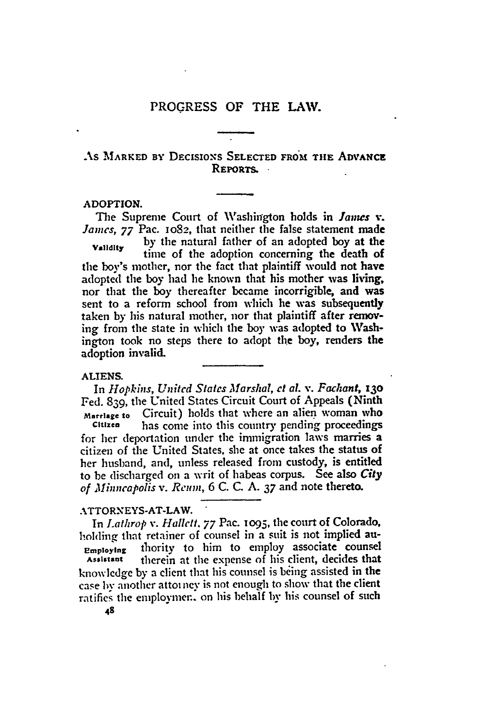## AS MARKED BY DECISIONS SELECTED FROM THE ADVANCE REPORTS.

#### **ADOPTION.**

The Supreme Court of Washington holds in *Janues* **v**. *James, 77* Pac. 1o82, that neither the false statement made

**Validity by** the natural father of an adopted boy at the time of the adoption concerning the death of the boy's mother, nor the fact that plaintiff would not have adopted the boy had he known that his mother was living, nor that the boy thereafter became incorrigible, and was sent to a reform school from which he was subsequently taken **by** his natural mother, nor that plaintiff after removing from the state in which the boy was adopted to Washington took no steps there to adopt the boy, renders the adoption invalid.

#### ALIENS.

In *Hopkins, United States Marshal, et al. v. Fachant, x3o* Fed. 839, the United States Circuit Court of Appeals (Ninth **marriage to** Circuit) holds that where an alien woman who **Citizen** has come into this country pending proceedings

for her deportation under the immigration laws marries a citizen of the United States, she at once takes the status of her husband, and, unless released from custody, is entitled to be discharged on a writ of habeas corpus. See also *City of Minneapolis v. Reum,* 6 **C. C. A.** *37* and note thereto.

## ATTORNEYS-AT-LAW.

In *Lathrop v. Hallett. 77* Pac. **o95,** the court of Colorado, holding that retainer of counsel in a suit is not implied au-Employing thority to him to employ associate counsel **Assistanlt** therein at the expense of his client, decides that knowledge **by** a client that his counsel is being assisted in the case by another attoi ney is not enough to show that the client ratifies the employmen, on his behalf by his counsel of such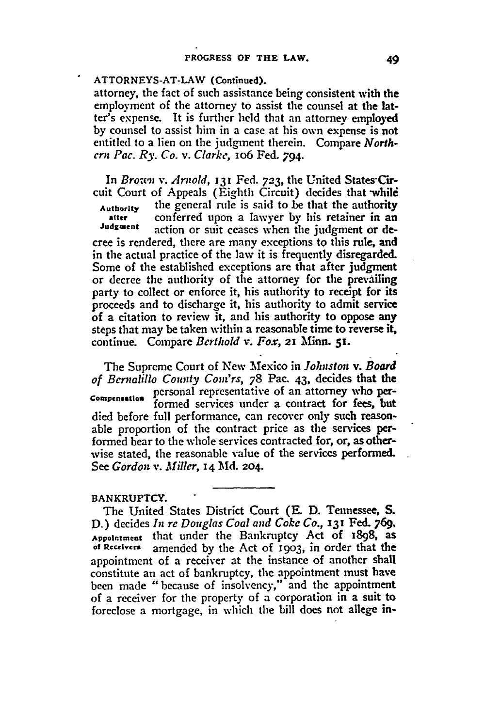#### **ATTORNEYS-AT-LAW (Continued).**

attorney, the fact of such assistance being consistent with the employment of the attorney to assist the counsel at the latter's expense. It is further held that an attorney employed **by** counsel to assist him in a case at his own expense is not entitled to a lien on the judgment therein. Compare *Northern Pac. Ry. Co. v. Clarke,* io6 **Fed.** 794.

In *Bro-wn v. Arnold,* **131 Fed. 723,** the United States'Circuit Court of Appeals (Eighth Circuit) decides that while **Authorty** the general rule is said to be that the **authority Safter** conferred upon a lawyer **by** his retainer in an action or suit ceases when the judgment or decree is rendered, there are many exceptions to this rule, and in the actual practice of the law it is frequently disregarded. Some of the established exceptions are that after judgment or decree the authority of the attorney for the prevailing party to collect or enforce it, his authority to receipt for its proceeds and to discharge it, his authority to admit service of a citation to review it, and his authority to oppose any steps that may be taken within a reasonable time to reverse it, continue. Compare *Berthold v. Fox,* **21 Minn. 51.**

The Supreme Court of New Mexico in *Johnston v. Board* of *Bernalillo County* Com'rs, **78** Pac. 43, decides that the **Compensation** personal representative of an attorney who performed services under a contract for fees, but died before full performance, can recover only such reasonable proportion of the contract price as the services performed bear to the whole services contracted for, or, as otherwise stated, the reasonable value of the services performed. See *Gordon v. Miller,* **14 Aid. 204.**

# **BANKRUPTCY.**

The United States District Court **(E. D.** Tennessee, **S.** D.) decides *In re Douglas Coal and Coke Co.,* **131** Fed. **769, Appointment** that under the Bankruptcy Act of i898, as amended by the Act of 1903, in order that the appointment of a receiver at the instance of another shall constitute an act of bankruptcy, the appointment must have been made "because of insolvency," and the appointment of a receiver for the property of a corporation in a suit to foreclose a mortgage, in which the bill does not allege in-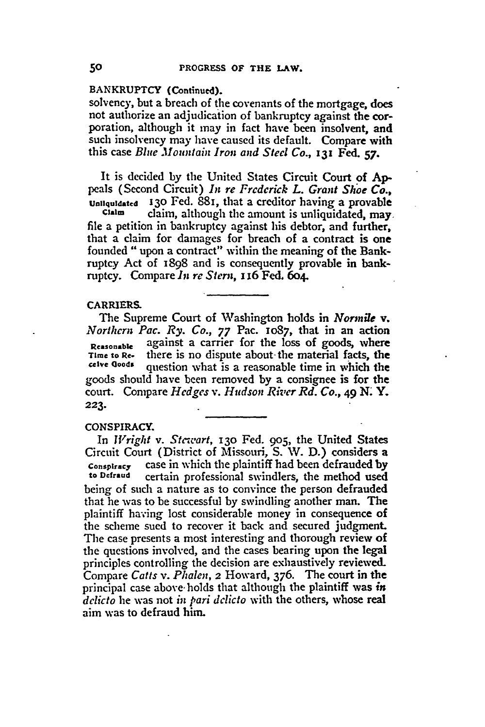## **BANKRUPTCY** (Continued).

solvency, but a breach of the covenants of the mortgage, does not authorize an adjudication of bankruptcy against the corporation, although it may in fact have been insolvent, and such insolvency may have caused its default. Compare with this case *Blue Mountain Iron and Steel Co.,* **I3 Fed. 57.**

It is decided **by** the United States Circuit Court **of Ap**peals (Second Circuit) *In re Frederick L. Grant Shoe Co.,* **Unlquidated 130** Fed. 881, that a creditor having a provable **Claim** claim, although the amount is unliquidated, may

file a petition in bankruptcy against his debtor, and further, that a claim for damages for breach of a contract is one founded "upon a contract" within the meaning of the Bankruptcy Act of 1898 and is consequently provable in bankruptcy. Compare *In re Stern, x* 16 Fed. 6o4.

#### CARRIERS.

The Supreme Court of Washington holds in *Normile v. Northern Pac. Ry. Co., 77* Pac. **1087,** that in an action Reasonable against a carrier for the loss of goods, where<br>Time to Re- there is no dispute about the material facts, the Time to Re-<br>
<u>there</u> decise about the material facts, the<br> **Celve Geods**<br> **Suppose the material is a reasonable time in which the** question what is a reasonable time in which the goods should have been removed by a consignee is for the court. Compare *Hedges v. Hudson River Rd. Co., 49* **N. Y. 223.**

#### CONSPIRACY.

In *W1right v. Stewart,* **13o** Fed. **905,** the United States Circuit Court (District of Missouri, **S.** W. **D.)** considers a **conspiracy** case in which the plaintiff had been defrauded by **to Defraud** certain professional swindlers, the method used being of such a nature as to convince the person defrauded that he was to be successful **by** swindling another man. The plaintiff having lost considerable money in consequence of the scheme sued to recover it back and secured judgment The case presents a most interesting and thorough review of the questions involved, and the cases bearing upon the legal principles controlling the decision are exhaustively reviewed. Compare *Catts v. Phalen,* 2 Howard, **376.** The court in the principal case above- holds that although the plaintiff was *in delicto* he was not *in pari delicto* with the others, whose real aim was to defraud him.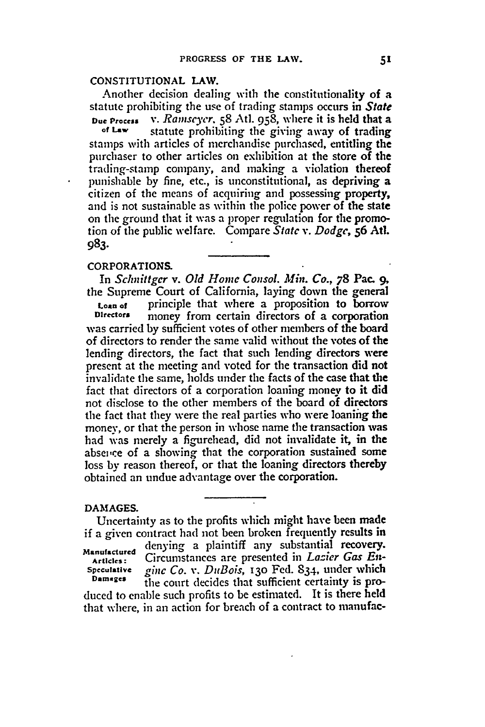## **CONSTITUTIONAL LAW.**

Another decision dealing with the constitutionality of a statute prohibiting the use of trading stamps occurs in *State* **Due Process v.** *Ramseyer.* **58** Atl. **958,** where it is held that a

**of Law** statute prohibiting the giving away of trading stamps with articles of merchandise purchased, entitling the purchaser to other articles on exhibition at the store of the trading-stamp company, and making a violation thereof punishable **by** fine, etc., is unconstitutional, as depriving a citizen of the means of acquiring and possessing property, and is not sustainable as within the police power of the **state** on the ground that it was a proper regulation for the promotion of the public welfare. Compare *Statc v. Dodge, 56* At. **983.**

#### CORPORATIONS.

In *Schnittgcr v. Old Home Consol. Min. Co., 78* **Pac. 9,** the Supreme Court of California, laying down the general **Loan of principle that where a proposition to borrow**<br>**Directors money** from certain directors of a corporation money from certain directors of a corporation was carried **by** sufficient votes of other members of the board of directors to render the same valid without the votes of the lending directors, the fact that such lending directors were present at the meeting and voted for the transaction did not invalidate the same, holds under the facts of the case that the fact that directors of a corporation loaning money to it did not disclose to the other members of the board of directors the fact that they were the real parties who were loaning the money, or that the person in whose name the transaction was had was merely a figurehead, did not invalidate it, in the absence of a showing that the corporation sustained some loss by reason thereof, or that the loaning directors thereby obtained an undue advantage over the corporation.

#### DAMAGES.

Uncertainty as to the profits which might have been made if a given contract had not been broken frequently results in **Manufactured** denying a plaintiff any substantial recovery. **Articles:** Circumstances are presented in *Lazier Gas En-*Speculative *gine Co. v. DuBois,* **13o** Fed. 834. under which **Damages** the court decides that sufficient certainty is produced to enable such profits to be estimated. It is there held that where, in an action for breach of a contract to manufac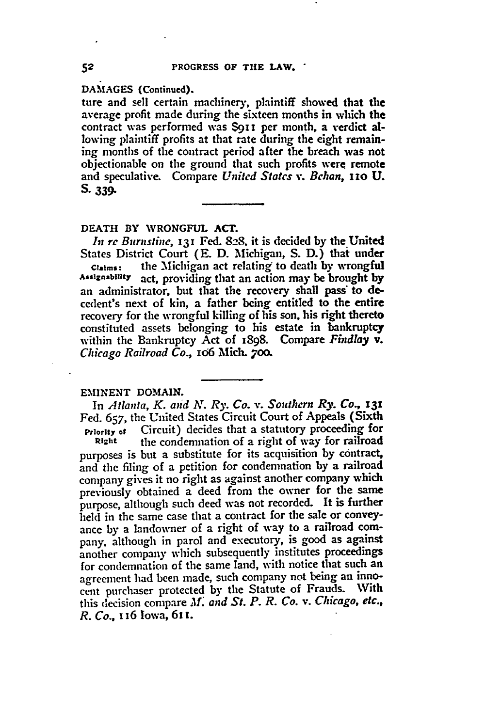**DAMAGES (Continued).**

**ture** and sell certain machinery, plaintiff showed that the average profit made during the sixteen months in which the contract was performed was **\$911** per month, a verdict allowing plaintiff profits at that rate during the eight remaining months of the contract period after the breach was not objectionable on the ground that such profits were remote and speculative. Compare *United States v. Behan, i1o* **U.** *S.* **339-**

**DEATH BY WRONGFUL ACT.**

*In re Burnstine,* I3' **Fed.** 828. it is decided **by** the United States District Court **(E. D.** Michigan, **S. D.)** thai under **Claims:** the Michigan act relating to death **by** wrongful **Assignability** act, providing that an action may be brought **by** an administrator, but that the recovery shall pass' to decedent's next of kin, a father being entitled to the entire recovery for the wrongful killing of his son, his right thereto constituted assets belonging to his estate in bankruptcy within the Bankruptcy Act of 1898. Compare *Findlay V. Chicago Railroad Co.,* **x06** Mich. **700.**

## **EMINENT DOMAIN.**

In *Atlanta, K. and AT. Ry. Co. v. Southern Ry. Co., 131* **Fed. 657,** the United States Circuit Court of Appeals (Sixth **Priority of** Circuit) decides that a statutory proceeding for<br>**Right** the condemnation of a right of way for railroad the condemnation of a right of way for railroad purposes is but a substitute for its acquisition by contract, and the filing of a petition for condemnation **by** a railroad company gives **it** no right as against another company which previously obtained a deed from the owner for the same purpose, although such deed was not recorded. It is further held in the same case that a contract for the sale or conveyance by a landowner of a right of way to a railroad company, although in parol and executory, is good as against another company which subsequently institutes proceedings for condemnation of the same land, with notice that such an agreement had been made, such company not being an innocent purchaser protected by the Statute of Frauds. With this decision compare *M' and St. P. R. Co. v. Chicago, etc., R. Co.,,* **16** Iowa, **6 11.**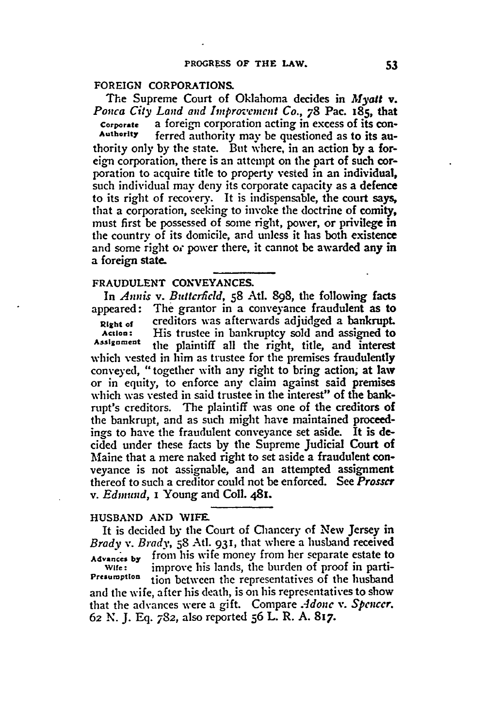# **FOREIGN CORPORATIONS.**

The Supreme Court of Oklahoma decides in *Myalt v*. *Ponca City Land and Improvement Co.,* **78** Pac. 185, that **Corporate** a foreign corporation acting in excess of its con-<br>Authority **ferred authority may be questioned** as to its auferred authority may be questioned as to its authority only by the state. But where, in an action by a foreign corporation, there is an attempt on the part of such corporation to acquire title to property vested in an individual, such individual may deny its corporate capacity as a defence to its right of recovery. It is indispensable, the court says, that a corporation, seeking to invoke the doctrine of comity, must first **be** possessed of some right, power, or privilege in the country of its domicile, and unless it has both existence and some right or power there, it cannot be awarded any in a foreign state.

#### **FRAUDULENT CONVEYANCES.**

In *Annis v. Buitcrticld,* **58** AtI. **898,** the following facts appeared: The grantor in a conveyance fraudulent as to Right of **creditors** was afterwards adjudged a bankrupt. **Action:** His trustee in bankruptcy sold and assigned to Assignment the plaintiff all the right, title, and interest which vested in him as trustee for the premises fraudulently conveyed, "together with any right to bring action, at law or in equity, to enforce any claim against said premises which was vested in said trustee in the interest" of the bankrupt's creditors. The plaintiff was one of the creditors of the bankrupt, and as such might have maintained proceedings to have the fraudulent conveyance set aside. It is decided under these facts **by** the Supreme Judicial Court of Maine that a mere naked right to set aside a fraudulent conveyance is not assignable, and an attempted assignment thereof to such a creditor could not be enforced. See *Prosscr v. Edmund,* i Young and Coll. 481.

## **HUSBAND AND** WIFE.

It is decided by the Court of Chancery of New Jersey in Brady v. Brady, 58 Atl. 931, that where a husband received Advances **by** from his wife money from her separate estate to **Wife:** improve his lands, the burden of proof in parti-**Presumption** tion between the representatives of the husband and the wife, after his death, is on his representatives to show that the advances were a gift. Compare *Adonc v. Spencer.* **62** N. J. **Eq.** 782, also reported **56** L. R. A. 817.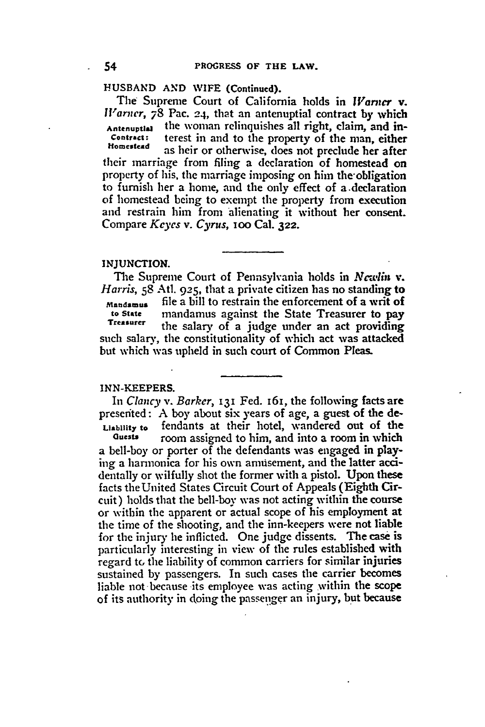**HUSBAND AND WIFE (Continued).**

The Supreme Court of California holds in *Warner* v. *Warner,* **78** Pac. **24,** that an antenuptial contract by which **Antenuptlal** the woman relinquishes all right, claim, and in-**Contract:** terest in and to the property of the man, either **Homestead as** heir or otherwise, does not preclude her after their marriage from filing a declaration of homestead on property of his, the marriage imposing on him the-obligation to furnish her a home, and the only effect of a.declaration of homestead being to exempt the property from execution and restrain him from alienating it without her consent. Compare *Keyes v. Cyrus, i* oo Cal. **322.**

#### **INJUNCTION.**

The Supreme Court of Pennsylvania holds in *Ncelin* v. *Harris,* **58** Atl. **925,** that a private citizen has no standing to **Maud...** file a bill to restrain the enforcement of a writ of **to State** mandamus against the State Treasurer to pay **Treasurer** the salary of a judge under an act providing such salary, the constitutionality of which act was attacked but which was upheld in such court of Common Pleas.

## **INN-KEEPERS.**

*In Clancy v. Barker,* **131** Fed. 161, the following facts are presented: A boy about six years of age, a guest of the de-**Liability to** fendants at their hotel, wandered out of the

room assigned to him, and into a room in which a bell-boy or porter of the defendants was engaged in playing a harnonica for his own amusement, and the latter **acci**dentally or wilfully shot the former with a pistol. Upon these facts theUnited States Circuit Court of Appeals (Eighth Circuit) holds that the bell-boy was not acting within the course or within the apparent or actual scope of his employment at the time of the shooting, and the inn-keepers were not liable for the injury **he** inflicted. One **judge** dissents. The case is particularly interesting in view of the rules established with regard **to** the liability of common carriers for similar injuries sustained by passengers. In such cases the carrier becomes liable not because its employee was acting within the scope of its authority in doing the passenger an injury, but because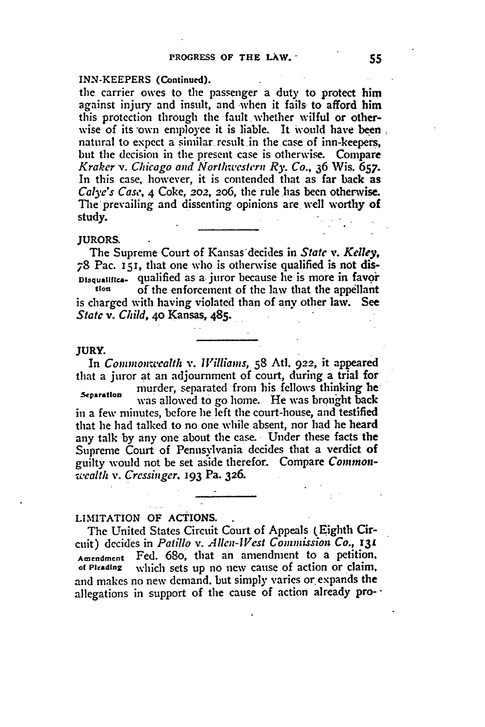#### **INN-KEEPERS** (Continued).

the carrier owes to the passenger a duty to protect him against injury and insult, and when it fails- to afford him this protection through the fault whether wilful or otherwise of its own employee it is liable. It would have been natural to expect a similar result in the case of inn-keepers, but the decision in the present case is otherwise. Compare *Kraker v. Chicago and Northwestern Ry. Co.,* 36 Wis. 657. In this case, however, it is contended that as far back as *Calye's Case,* **4** Coke, 202, **206,** the rule has been otherwise. The prevailing and dissenting opinions are well worthy of study.

#### **JURORS.**

The Supreme Court of Kansas-decides in *State v. Kelley,* **78** Pac. **151,** that one who is otherwise qualified is not dis-**Disqualifies.** qualified as a juror because he is more in favor

of the enforcement of the law that the appellant is charged with having violated than of any other law. See *State v. Child,* **4o** Kansas, 485.

#### **JURY.**

In *Coninon-wealth v. Williams,* **58** Atl. **922,** it appeared that a juror at an adjournment of court, during a trial for

**Separation** murder, separated from his fellows thinking **he** was allowed to go home. He was brought back in a few minutes, before he left the court-house, and testified that he had talked to no one while absent, nor had he heard any talk by any one about the case. Under these facts the Supreme Court of Pennsylvania decides that a verdict **of** guilty would not be set aside therefor. Compare *Commonwealth v. Cressinger.* **193** Pa. 326.

## LIMITATION **OF ACTIONS.**

The United States Circuit Court of Appeals (Eighth Circuit) decides in Patillo *v. Allen- Vcst Commission Co., 13L* Amendment Fed. 68o, that an amendment to a petition. **of Pleading** which sets up no new cause of action or claim. and makes no new demand, but simply varies or expands the allegations in support of the cause of action already pro- $\cdot$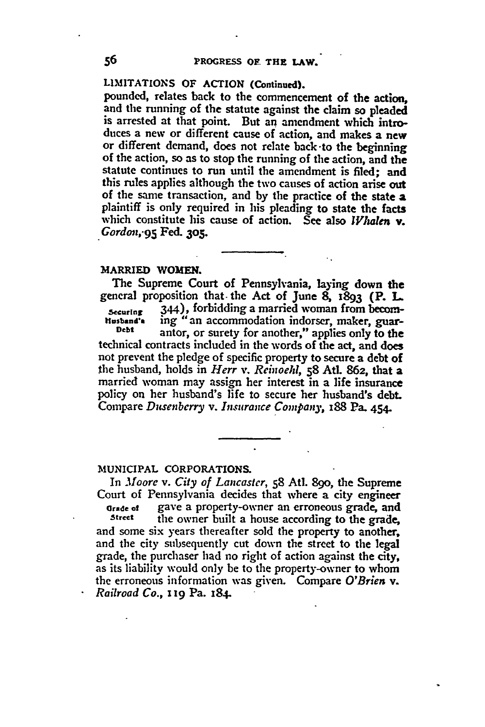# **LIMITATIONS** OF ACTION (Continued).

pounded, relates back to the commencement of the action, and the running of the statute against the claim so pleaded is arrested at that point. But an amendment which introduces a new or different cause of action, and makes a new or different demand, does not relate back-to the beginning of the action, so as to stop the running of the action, and the statute continues to run until the amendment is filed; and this rules applies although the two causes of action arise out of the same transaction, and **by** the practice of the state **a** plaintiff is only required in his pleading to state the facts which constitute his cause of action. See also *Whalen* **v**. *Gordon,.95* Fed. **305.**

# **MARRIED WOMEN.**

The Supreme Court of Pennsylvania, laying down the general proposition that. **the** Act of June **8, 1893** (P. **L Securing 244), forbidding a married woman from becom-**<br>**Husband's** ing "an accommodation indorser, maker, guar**htusband.** ing "an accommodation indorser, maker, guar- **Debt** antor, or surety for another," applies only to the technical contracts included in the words of the act, and does not prevent the pledge of specific property to secure a debt of the husband, holds in *Herr v. Reinoeld,* **58 AtL** 862, that a married woman may assign her interest in a life insurance policy on her husband's life to secure her husband's **debt.** Compare *Dusenberry v. Insurance Company,* **x88** Pa. 454

#### **MUNICIPAL CORPORATIONS.**

In *Moore v. City of Lancaster,* **58** At]. 890, the Supreme Court of Pennsylvania decides that where a city engineer Grade of gave a property-owner an erroneous grade, and<br>Street the owner built a house according to the grade the owner built a house according to the grade, and some six years thereafter sold the property to another, and the city subsequently cut down the street to the legal grade, the purchaser had no right of action against the city, as its liability would only be to the property-owner to whom the erroneous information was given. Compare *O'Brien v. Railroad Co., i* **19** Pa. 184.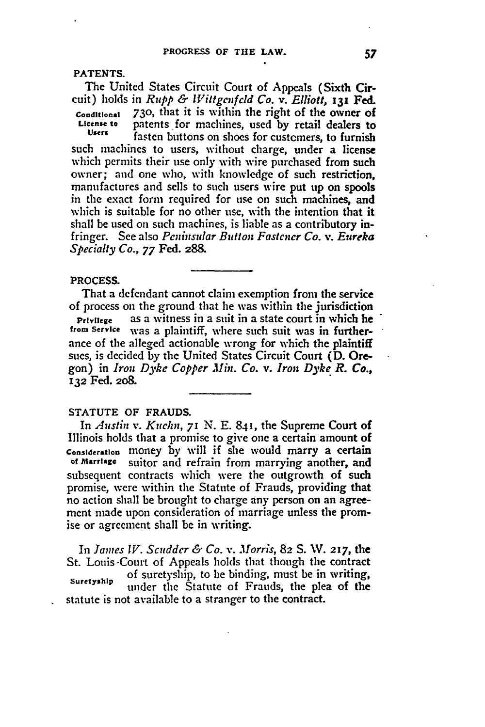**PATENTS.**

The United States Circuit Court of Appeals (Sixth Circuit) holds in *Rupp & Vittgenfcld Co. v. Elliott, i31* Fed. **Coanditional 730,** that it is within the right of the owner of **License to** patents for machines, used **by** retail dealers to **Users** fasten buttons on shoes for custemers, to furnish

such machines to users, without charge, under a license which permits their use only with wire purchased from such owner; and one who, with knowledge of such restriction, manufactures and sells to such users wire put up on spools in the exact form required for use on such machines, and which is suitable for no other use, with the intention that it shall be used on such machines, is liable as a contributory infringer. See also *Peninsular Button Fastener Co. v. Eureka Specialty Co., 77* Fed. **288.**

## **PROCESS.**

That a defendant cannot claim exemption from the service of process on the ground that **he** was within the jurisdiction **Privilege** as a witness in a suit in a state court in which he **from Service** was a plaintiff, where such suit was in furtherance of the alleged actionable wrong for which the plaintiff sues, is decided **by** the United States Circuit Court **(D.** Oregon) in *Iron Dyke Copper Min. Co. v. Iron Dyke R. Co.,* **132** Fed. **208.**

## **STATUTE OF FRAUDS.**

In *Austin v. Kucln, 7* **N. E. 841, the** Supreme **Court of** Illinois holds that a promise to give one a certain amount of **Consideration** money **by** will if she would marry a certain **of Marriage** suitor and refrain from marrying another, and subsequent contracts which were the outgrowth of such promise, were within the Statute of Frauds, providing that no action shall be brought to charge any person on an agreement made upon consideration of marriage unless the promise or agreement shall be in writing.

In *James IV. Scudder & Co. v. Morris,* **82 S. W. 217, the** St. Louis -Court of Appeals holds that though the contract of suretyship, to be binding, must be in writing, **suretyaip** under the Statute of Frauds, the plea of the statute is not available to a stranger to the contract.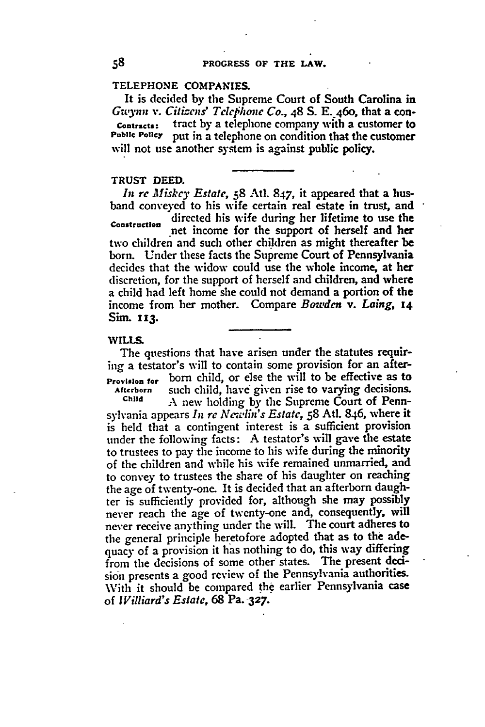## **TELEPHONE COMPANIES.**

It is decided by the Supreme Court of South Carolina in *G-wynn v. Citizens' Telephone Co.,* 48 **S.** E..4 6o, that a con-**Contracts:** tract **by** a telephone company with a customer to **Public Policy** put in a telephone on condition that the customer will not use another system is against public policy.

# TRUST **DEED.**

*In rc Miskey Estate,* **58** Atl. 847, it appeared that a husband conveyed to his wife certain real estate in trust, and directed his wife during her lifetime to use the Construction net income for the support of herself and her two children and such other children as might thereafter be born. Under these facts the Supreme Court of Pennsylvania decides that the widow could use the whole income, at her discretion, for the support of herself and children, and where a child had left home she could not demand a portion **of** the income from her mother. Compare *Bowden v. Laing, <sup>14</sup>* Sim. **113.**

#### **WILLS.**

The questions that have arisen under the statutes requiring a testator's will to contain some provision for an after-**Provision for** born child, or else the will to be effective as to **Afterborn** such child, have- given rise to varying decisions.

**Child A** new holding by the Supreme Court of Pennsylvania appears *In re ANewhln's Estate,* **58** Atl. 846, where it is held that a contingent interest is a sufficient provision tinder the following facts: **A** testator's will gave the estate to trustees to pay the income to his wife during the minority of the children and while his wife remained unmarried, and to convey to trustees the share of his daughter on reaching the age of twenty-one. It is decided that an afterborn daughter is sufficiently provided for, although she may possibly never reach the age of twenty-one and, consequently, will never receive anything under the will. The court adheres to the general principle heretofore adopted that as to the adequacy of a provision it has nothing to do, this way differing from the decisions of some other states. The present **deci**sion presents a good review of the Pennsylvania authorities. With it should be compared **the** earlier Pennsylvania case of *Williard's Estate,* **68** Pa. **327.**